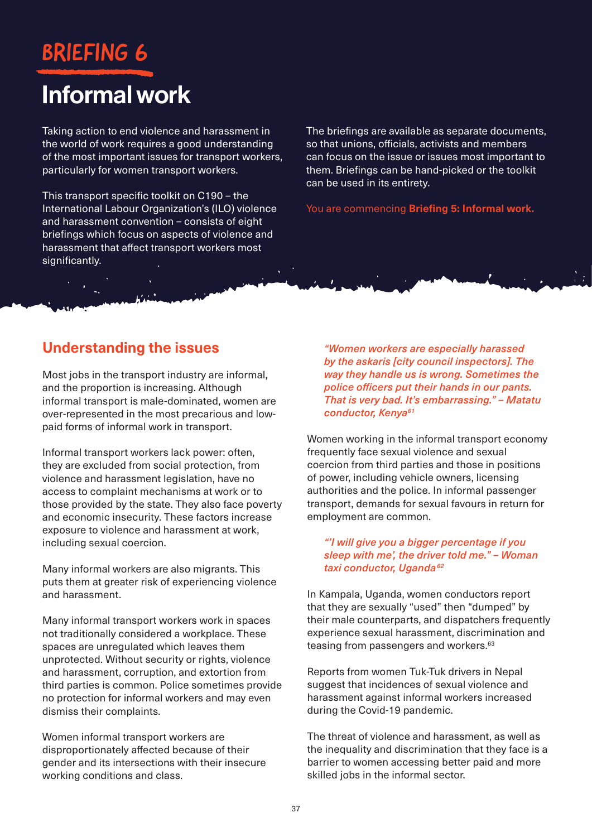# BRIEFING 6

# Informal work

Taking action to end violence and harassment in the world of work requires a good understanding of the most important issues for transport workers, particularly for women transport workers.

This transport specific toolkit on C190 – the International Labour Organization's (ILO) violence and harassment convention – consists of eight briefings which focus on aspects of violence and harassment that affect transport workers most significantly.

The briefings are available as separate documents, so that unions, officials, activists and members can focus on the issue or issues most important to them. Briefings can be hand-picked or the toolkit can be used in its entirety.

You are commencing **Briefing 5: Informal work.**

# **Understanding the issues**

Most jobs in the transport industry are informal, and the proportion is increasing. Although informal transport is male-dominated, women are over-represented in the most precarious and lowpaid forms of informal work in transport.

Informal transport workers lack power: often, they are excluded from social protection, from violence and harassment legislation, have no access to complaint mechanisms at work or to those provided by the state. They also face poverty and economic insecurity. These factors increase exposure to violence and harassment at work, including sexual coercion.

Many informal workers are also migrants. This puts them at greater risk of experiencing violence and harassment.

Many informal transport workers work in spaces not traditionally considered a workplace. These spaces are unregulated which leaves them unprotected. Without security or rights, violence and harassment, corruption, and extortion from third parties is common. Police sometimes provide no protection for informal workers and may even dismiss their complaints.

Women informal transport workers are disproportionately affected because of their gender and its intersections with their insecure working conditions and class.

*"Women workers are especially harassed by the askaris [city council inspectors]. The way they handle us is wrong. Sometimes the police officers put their hands in our pants. That is very bad. It's embarrassing." – Matatu conductor, Kenya61*

Women working in the informal transport economy frequently face sexual violence and sexual coercion from third parties and those in positions of power, including vehicle owners, licensing authorities and the police. In informal passenger transport, demands for sexual favours in return for employment are common.

### *"'I will give you a bigger percentage if you sleep with me', the driver told me." – Woman taxi conductor, Uganda <sup>62</sup>*

In Kampala, Uganda, women conductors report that they are sexually "used" then "dumped" by their male counterparts, and dispatchers frequently experience sexual harassment, discrimination and teasing from passengers and workers.<sup>63</sup>

Reports from women Tuk-Tuk drivers in Nepal suggest that incidences of sexual violence and harassment against informal workers increased during the Covid-19 pandemic.

The threat of violence and harassment, as well as the inequality and discrimination that they face is a barrier to women accessing better paid and more skilled jobs in the informal sector.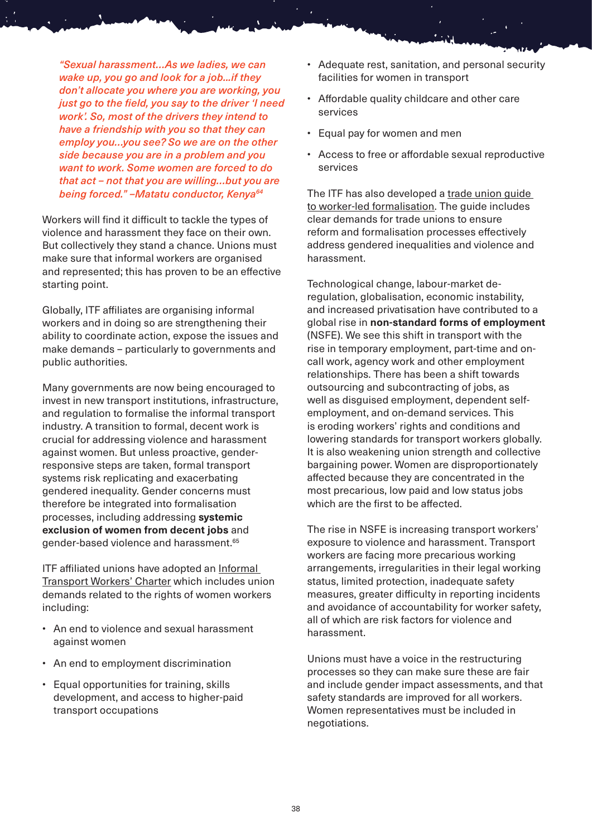*"Sexual harassment…As we ladies, we can wake up, you go and look for a job...if they don't allocate you where you are working, you just go to the field, you say to the driver 'I need work'. So, most of the drivers they intend to have a friendship with you so that they can employ you…you see? So we are on the other side because you are in a problem and you want to work. Some women are forced to do that act – not that you are willing…but you are being forced." –Matatu conductor, Kenya64* 

Workers will find it difficult to tackle the types of violence and harassment they face on their own. But collectively they stand a chance. Unions must make sure that informal workers are organised and represented; this has proven to be an effective starting point.

Globally, ITF affiliates are organising informal workers and in doing so are strengthening their ability to coordinate action, expose the issues and make demands – particularly to governments and public authorities.

Many governments are now being encouraged to invest in new transport institutions, infrastructure, and regulation to formalise the informal transport industry. A transition to formal, decent work is crucial for addressing violence and harassment against women. But unless proactive, genderresponsive steps are taken, formal transport systems risk replicating and exacerbating gendered inequality. Gender concerns must therefore be integrated into formalisation processes, including addressing **systemic exclusion of women from decent jobs** and gender-based violence and harassment.65

ITF affiliated unions have adopted an [Informal](https://www.itfglobal.org/en/reports-publications/informal-transport-workers-charter)  [Transport Workers' Charter](https://www.itfglobal.org/en/reports-publications/informal-transport-workers-charter) which includes union demands related to the rights of women workers including:

- An end to violence and sexual harassment against women
- An end to employment discrimination
- Equal opportunities for training, skills development, and access to higher-paid transport occupations
- Adequate rest, sanitation, and personal security facilities for women in transport
- Affordable quality childcare and other care services
- Equal pay for women and men
- Access to free or affordable sexual reproductive services

The ITF has also developed a trade union guide [to worker-led formalisation](https://www.itfglobal.org/en/reports-publications/trade-union-guide-worker-led-formalisation). The guide includes clear demands for trade unions to ensure reform and formalisation processes effectively address gendered inequalities and violence and harassment.

Technological change, labour-market deregulation, globalisation, economic instability, and increased privatisation have contributed to a global rise in **non-standard forms of employment**  (NSFE). We see this shift in transport with the rise in temporary employment, part-time and oncall work, agency work and other employment relationships. There has been a shift towards outsourcing and subcontracting of jobs, as well as disguised employment, dependent selfemployment, and on-demand services. This is eroding workers' rights and conditions and lowering standards for transport workers globally. It is also weakening union strength and collective bargaining power. Women are disproportionately affected because they are concentrated in the most precarious, low paid and low status jobs which are the first to be affected.

The rise in NSFE is increasing transport workers' exposure to violence and harassment. Transport workers are facing more precarious working arrangements, irregularities in their legal working status, limited protection, inadequate safety measures, greater difficulty in reporting incidents and avoidance of accountability for worker safety, all of which are risk factors for violence and harassment.

Unions must have a voice in the restructuring processes so they can make sure these are fair and include gender impact assessments, and that safety standards are improved for all workers. Women representatives must be included in negotiations.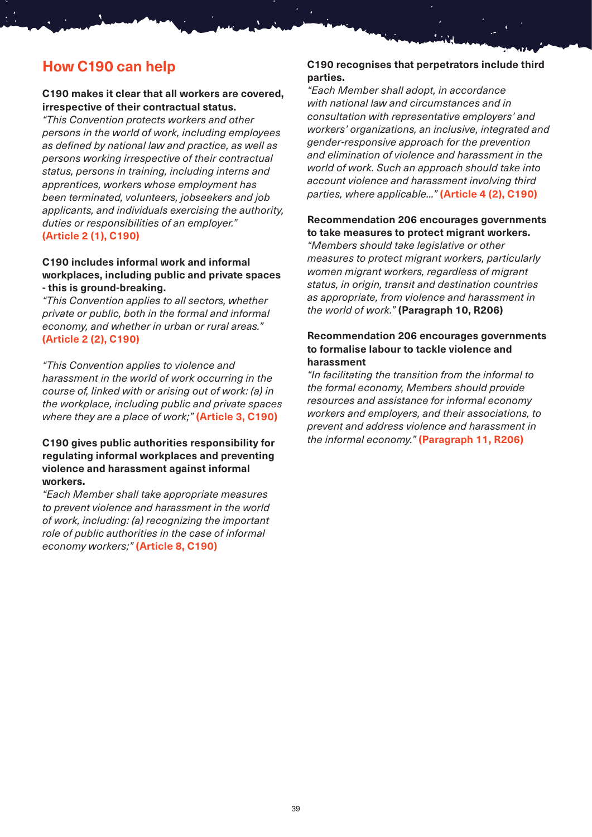# **How C190 can help**

#### **C190 makes it clear that all workers are covered, irrespective of their contractual status.**

*"This Convention protects workers and other persons in the world of work, including employees as defined by national law and practice, as well as persons working irrespective of their contractual status, persons in training, including interns and apprentices, workers whose employment has been terminated, volunteers, jobseekers and job applicants, and individuals exercising the authority, duties or responsibilities of an employer."* **(Article 2 (1), C190)**

#### **C190 includes informal work and informal workplaces, including public and private spaces - this is ground-breaking.**

*"This Convention applies to all sectors, whether private or public, both in the formal and informal economy, and whether in urban or rural areas."* **(Article 2 (2), C190)**

*"This Convention applies to violence and harassment in the world of work occurring in the course of, linked with or arising out of work: (a) in the workplace, including public and private spaces where they are a place of work;"* **(Article 3, C190)**

### **C190 gives public authorities responsibility for regulating informal workplaces and preventing violence and harassment against informal workers.**

*"Each Member shall take appropriate measures to prevent violence and harassment in the world of work, including: (a) recognizing the important role of public authorities in the case of informal economy workers;"* **(Article 8, C190)**

### **C190 recognises that perpetrators include third parties.**

*"Each Member shall adopt, in accordance with national law and circumstances and in consultation with representative employers' and workers' organizations, an inclusive, integrated and gender-responsive approach for the prevention and elimination of violence and harassment in the world of work. Such an approach should take into account violence and harassment involving third parties, where applicable..."* **(Article 4 (2), C190)**

### **Recommendation 206 encourages governments to take measures to protect migrant workers.**

*"Members should take legislative or other measures to protect migrant workers, particularly women migrant workers, regardless of migrant status, in origin, transit and destination countries as appropriate, from violence and harassment in the world of work."* **(Paragraph 10, R206)**

#### **Recommendation 206 encourages governments to formalise labour to tackle violence and harassment**

*"In facilitating the transition from the informal to the formal economy, Members should provide resources and assistance for informal economy workers and employers, and their associations, to prevent and address violence and harassment in the informal economy."* **(Paragraph 11, R206)**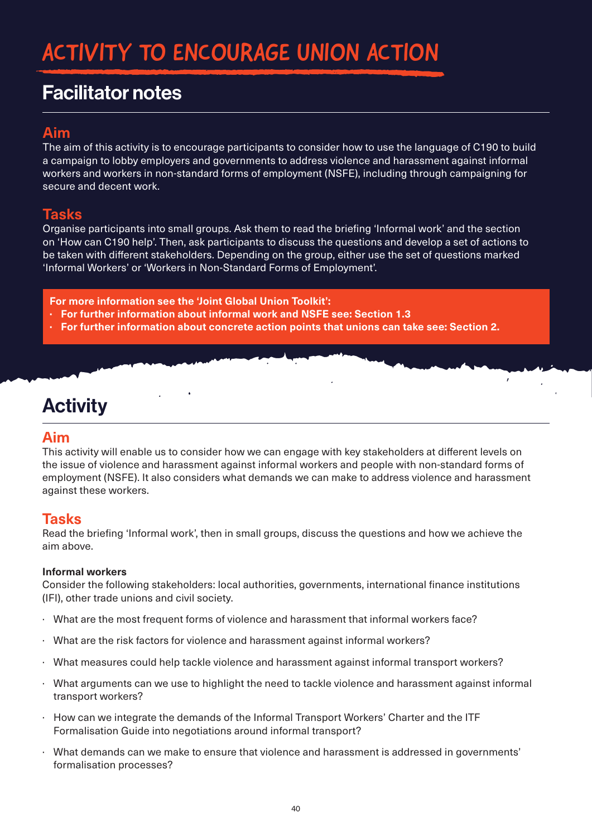# ACTIVITY TO ENCOURAGE UNION ACTION

# Facilitator notes

# **Aim**

The aim of this activity is to encourage participants to consider how to use the language of C190 to build a campaign to lobby employers and governments to address violence and harassment against informal workers and workers in non-standard forms of employment (NSFE), including through campaigning for secure and decent work.

## **Tasks**

Organise participants into small groups. Ask them to read the briefing 'Informal work' and the section on 'How can C190 help'. Then, ask participants to discuss the questions and develop a set of actions to be taken with different stakeholders. Depending on the group, either use the set of questions marked 'Informal Workers' or 'Workers in Non-Standard Forms of Employment'.

**For more information see the 'Joint Global Union Toolkit':**

- **· For further information about informal work and NSFE see: Section 1.3**
- **· For further information about concrete action points that unions can take see: Section 2.**

# **Activity**

### **Aim**

This activity will enable us to consider how we can engage with key stakeholders at different levels on the issue of violence and harassment against informal workers and people with non-standard forms of employment (NSFE). It also considers what demands we can make to address violence and harassment against these workers.

## **Tasks**

Read the briefing 'Informal work', then in small groups, discuss the questions and how we achieve the aim above.

### **Informal workers**

Consider the following stakeholders: local authorities, governments, international finance institutions (IFI), other trade unions and civil society.

- · What are the most frequent forms of violence and harassment that informal workers face?
- · What are the risk factors for violence and harassment against informal workers?
- · What measures could help tackle violence and harassment against informal transport workers?
- · What arguments can we use to highlight the need to tackle violence and harassment against informal transport workers?
- · How can we integrate the demands of the Informal Transport Workers' Charter and the ITF Formalisation Guide into negotiations around informal transport?
- · What demands can we make to ensure that violence and harassment is addressed in governments' formalisation processes?